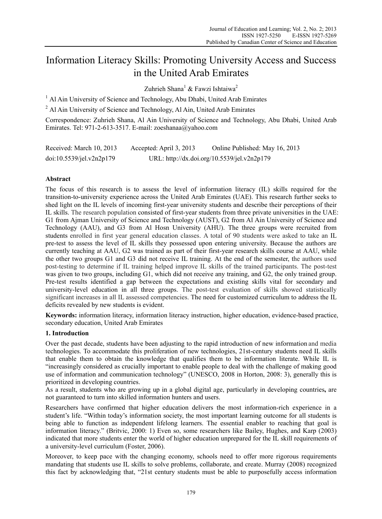# Information Literacy Skills: Promoting University Access and Success in the United Arab Emirates

Zuhrieh Shana<sup>1</sup> & Fawzi Ishtaiwa<sup>2</sup>

<sup>1</sup> Al Ain University of Science and Technology, Abu Dhabi, United Arab Emirates

 $2$  Al Ain University of Science and Technology, Al Ain, United Arab Emirates

Correspondence: Zuhrieh Shana, Al Ain University of Science and Technology, Abu Dhabi, United Arab Emirates. Tel: 971-2-613-3517. E-mail: zoeshanaa@yahoo.com

| Received: March 10, 2013 | Accepted: April 3, 2013 | Online Published: May 16, 2013              |
|--------------------------|-------------------------|---------------------------------------------|
| doi:10.5539/jel.v2n2p179 |                         | URL: http://dx.doi.org/10.5539/jel.v2n2p179 |

# **Abstract**

The focus of this research is to assess the level of information literacy (IL) skills required for the transition-to-university experience across the United Arab Emirates (UAE). This research further seeks to shed light on the IL levels of incoming first-year university students and describe their perceptions of their IL skills. The research population consisted of first-year students from three private universities in the UAE: G1 from Ajman University of Science and Technology (AUST), G2 from Al Ain University of Science and Technology (AAU), and G3 from Al Hosn University (AHU). The three groups were recruited from students enrolled in first year general education classes. A total of 90 students were asked to take an IL pre-test to assess the level of IL skills they possessed upon entering university. Because the authors are currently teaching at AAU, G2 was trained as part of their first-year research skills course at AAU, while the other two groups G1 and G3 did not receive IL training. At the end of the semester, the authors used post-testing to determine if IL training helped improve IL skills of the trained participants. The post-test was given to two groups, including G1, which did not receive any training, and G2, the only trained group. Pre-test results identified a gap between the expectations and existing skills vital for secondary and university-level education in all three groups. The post-test evaluation of skills showed statistically significant increases in all IL assessed competencies. The need for customized curriculum to address the IL deficits revealed by new students is evident.

**Keywords:** information literacy, information literacy instruction, higher education, evidence-based practice, secondary education, United Arab Emirates

# **1. Introduction**

Over the past decade, students have been adjusting to the rapid introduction of new information and media technologies. To accommodate this proliferation of new technologies, 21st-century students need IL skills that enable them to obtain the knowledge that qualifies them to be information literate. While IL is "increasingly considered as crucially important to enable people to deal with the challenge of making good use of information and communication technology" (UNESCO, 2008 in Horton, 2008: 3), generally this is prioritized in developing countries.

As a result, students who are growing up in a global digital age, particularly in developing countries**,** are not guaranteed to turn into skilled information hunters and users.

Researchers have confirmed that higher education delivers the most information-rich experience in a student's life. "Within today's information society, the most important learning outcome for all students is being able to function as independent lifelong learners. The essential enabler to reaching that goal is information literacy." (Britvic, 2000: 1) Even so, some researchers like Bailey, Hughes, and Karp (2003) indicated that more students enter the world of higher education unprepared for the IL skill requirements of a university-level curriculum (Foster, 2006).

Moreover, to keep pace with the changing economy, schools need to offer more rigorous requirements mandating that students use IL skills to solve problems, collaborate, and create. Murray (2008) recognized this fact by acknowledging that, "21st century students must be able to purposefully access information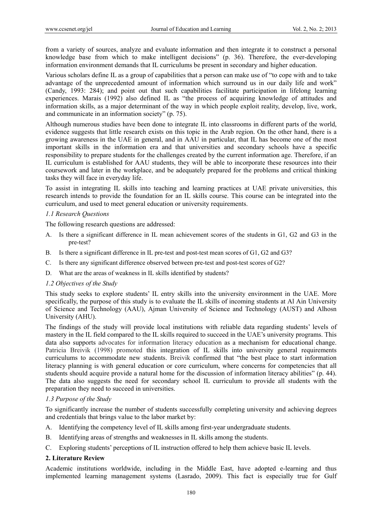from a variety of sources, analyze and evaluate information and then integrate it to construct a personal knowledge base from which to make intelligent decisions" (p. 36). Therefore, the ever-developing information environment demands that IL curriculums be present in secondary and higher education.

Various scholars define IL as a group of capabilities that a person can make use of "to cope with and to take advantage of the unprecedented amount of information which surround us in our daily life and work" (Candy, 1993: 284); and point out that such capabilities facilitate participation in lifelong learning experiences. Marais (1992) also defined IL as "the process of acquiring knowledge of attitudes and information skills, as a major determinant of the way in which people exploit reality, develop, live, work, and communicate in an information society" (p. 75).

Although numerous studies have been done to integrate IL into classrooms in different parts of the world, evidence suggests that little research exists on this topic in the Arab region. On the other hand, there is a growing awareness in the UAE in general, and in AAU in particular, that IL has become one of the most important skills in the information era and that universities and secondary schools have a specific responsibility to prepare students for the challenges created by the current information age. Therefore, if an IL curriculum is established for AAU students, they will be able to incorporate these resources into their coursework and later in the workplace, and be adequately prepared for the problems and critical thinking tasks they will face in everyday life.

To assist in integrating IL skills into teaching and learning practices at UAE private universities, this research intends to provide the foundation for an IL skills course. This course can be integrated into the curriculum, and used to meet general education or university requirements.

## *1.1 Research Questions*

The following research questions are addressed:

- A. Is there a significant difference in IL mean achievement scores of the students in G1, G2 and G3 in the pre-test?
- B. Is there a significant difference in IL pre-test and post-test mean scores of G1, G2 and G3?
- C. Is there any significant difference observed between pre-test and post-test scores of G2?
- D. What are the areas of weakness in IL skills identified by students?

# *1.2 Objectives of the Study*

This study seeks to explore students' IL entry skills into the university environment in the UAE. More specifically, the purpose of this study is to evaluate the IL skills of incoming students at Al Ain University of Science and Technology (AAU), Ajman University of Science and Technology (AUST) and Alhosn University (AHU).

The findings of the study will provide local institutions with reliable data regarding students' levels of mastery in the IL field compared to the IL skills required to succeed in the UAE's university programs. This data also supports advocates for information literacy education as a mechanism for educational change. Patricia Breivik (1998) promoted this integration of IL skills into university general requirements curriculums to accommodate new students. Breivik confirmed that "the best place to start information literacy planning is with general education or core curriculum, where concerns for competencies that all students should acquire provide a natural home for the discussion of information literacy abilities" (p. 44). The data also suggests the need for secondary school IL curriculum to provide all students with the preparation they need to succeed in universities.

# *1.3 Purpose of the Study*

To significantly increase the number of students successfully completing university and achieving degrees and credentials that brings value to the labor market by:

- A. Identifying the competency level of IL skills among first-year undergraduate students.
- B. Identifying areas of strengths and weaknesses in IL skills among the students.
- C. Exploring students' perceptions of IL instruction offered to help them achieve basic IL levels.

# **2. Literature Review**

Academic institutions worldwide, including in the Middle East, have adopted e-learning and thus implemented learning management systems (Lasrado, 2009). This fact is especially true for Gulf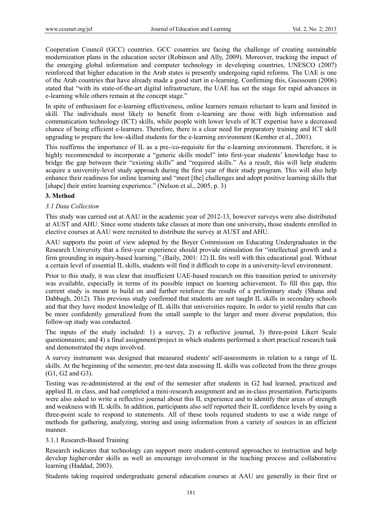Cooperation Council (GCC) countries. GCC countries are facing the challenge of creating sustainable modernization plans in the education sector (Robinson and Ally, 2009). Moreover, tracking the impact of the emerging global information and computer technology in developing countries, UNESCO (2007) reinforced that higher education in the Arab states is presently undergoing rapid reforms. The UAE is one of the Arab countries that have already made a good start in e-learning. Confirming this, Guessoum (2006) stated that "with its state-of-the-art digital infrastructure, the UAE has set the stage for rapid advances in e-learning while others remain at the concept stage."

In spite of enthusiasm for e-learning effectiveness, online learners remain reluctant to learn and limited in skill. The individuals most likely to benefit from e-learning are those with high information and communication technology (ICT) skills, while people with lower levels of ICT expertise have a decreased chance of being efficient e-learners. Therefore, there is a clear need for preparatory training and ICT skill upgrading to prepare the low-skilled students for the e-learning environment (Kember et al., 2001).

This reaffirms the importance of IL as a pre-/co-requisite for the e-learning environment. Therefore, it is highly recommended to incorporate a "generic skills model" into first-year students' knowledge base to bridge the gap between their "existing skills" and "required skills." As a result, this will help students acquire a university-level study approach during the first year of their study program. This will also help enhance their readiness for online learning and "meet [the] challenges and adopt positive learning skills that [shape] their entire learning experience." (Nelson et al., 2005, p. 3)

## **3. Method**

## *3.1 Data Collection*

This study was carried out at AAU in the academic year of 2012-13, however surveys were also distributed at AUST and AHU. Since some students take classes at more than one university**,** those students enrolled in elective courses at AAU were recruited to distribute the survey at AUST and AHU.

AAU supports the point of view adopted by the Boyer Commission on Educating Undergraduates in the Research University that a first-year experience should provide stimulation for "intellectual growth and a firm grounding in inquiry-based learning." (Baily, 2001: 12) IL fits well with this educational goal. Without a certain level of essential IL skills, students will find it difficult to cope in a university-level environment.

Prior to this study, it was clear that insufficient UAE-based research on this transition period to university was available, especially in terms of its possible impact on learning achievement. To fill this gap, this current study is meant to build on and further reinforce the results of a preliminary study (Shana and Dabbagh, 2012). This previous study confirmed that students are not taught IL skills in secondary schools and that they have modest knowledge of IL skills that universities require. In order to yield results that can be more confidently generalized from the small sample to the larger and more diverse population, this follow-up study was conducted.

The inputs of the study included: 1) a survey, 2) a reflective journal, 3) three-point Likert Scale questionnaires; and 4) a final assignment/project in which students performed a short practical research task and demonstrated the steps involved.

A survey instrument was designed that measured students' self-assessments in relation to a range of IL skills. At the beginning of the semester, pre-test data assessing IL skills was collected from the three groups (G1, G2 and G3).

Testing was re-administered at the end of the semester after students in G2 had learned, practiced and applied IL in class, and had completed a mini-research assignment and an in-class presentation. Participants were also asked to write a reflective journal about this IL experience and to identify their areas of strength and weakness with IL skills. In addition, participants also self reported their IL confidence levels by using a three-point scale to respond to statements. All of these tools required students to use a wide range of methods for gathering, analyzing, storing and using information from a variety of sources in an efficient manner.

# 3.1.1 Research-Based Training

Research indicates that technology can support more student-centered approaches to instruction and help develop higher-order skills as well as encourage involvement in the teaching process and collaborative learning (Haddad, 2003).

Students taking required undergraduate general education courses at AAU are generally in their first or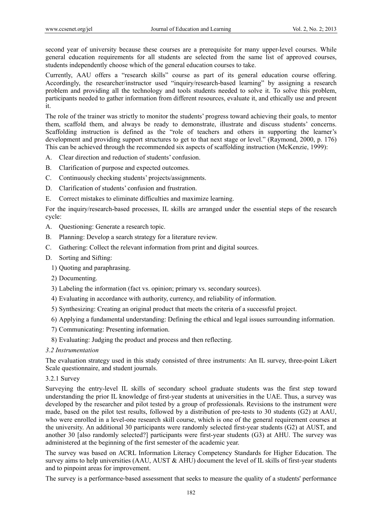second year of university because these courses are a prerequisite for many upper-level courses. While general education requirements for all students are selected from the same list of approved courses, students independently choose which of the general education courses to take.

Currently, AAU offers a "research skills" course as part of its general education course offering. Accordingly, the researcher/instructor used "inquiry/research-based learning" by assigning a research problem and providing all the technology and tools students needed to solve it. To solve this problem, participants needed to gather information from different resources, evaluate it, and ethically use and present it.

The role of the trainer was strictly to monitor the students' progress toward achieving their goals, to mentor them, scaffold them, and always be ready to demonstrate, illustrate and discuss students' concerns. Scaffolding instruction is defined as the "role of teachers and others in supporting the learner's development and providing support structures to get to that next stage or level." (Raymond, 2000, p. 176) This can be achieved through the recommended six aspects of scaffolding instruction (McKenzie, 1999):

- A. Clear direction and reduction of students' confusion.
- B. Clarification of purpose and expected outcomes.
- C. Continuously checking students' projects/assignments.
- D. Clarification of students' confusion and frustration.
- E. Correct mistakes to eliminate difficulties and maximize learning.

For the inquiry/research-based processes, IL skills are arranged under the essential steps of the research cycle:

- A. Questioning: Generate a research topic.
- B. Planning: Develop a search strategy for a literature review.
- C. Gathering: Collect the relevant information from print and digital sources.
- D. Sorting and Sifting:
	- 1) Quoting and paraphrasing.
	- 2) Documenting.
	- 3) Labeling the information (fact vs. opinion; primary vs. secondary sources).
	- 4) Evaluating in accordance with authority, currency, and reliability of information.
	- 5) Synthesizing: Creating an original product that meets the criteria of a successful project.
	- 6) Applying a fundamental understanding: Defining the ethical and legal issues surrounding information.
	- 7) Communicating: Presenting information.
	- 8) Evaluating: Judging the product and process and then reflecting.

#### *3.2 Instrumentation*

The evaluation strategy used in this study consisted of three instruments: An IL survey, three-point Likert Scale questionnaire, and student journals.

# 3.2.1 Survey

Surveying the entry-level IL skills of secondary school graduate students was the first step toward understanding the prior IL knowledge of first-year students at universities in the UAE. Thus, a survey was developed by the researcher and pilot tested by a group of professionals. Revisions to the instrument were made, based on the pilot test results, followed by a distribution of pre-tests to 30 students (G2) at AAU, who were enrolled in a level-one research skill course, which is one of the general requirement courses at the university. An additional 30 participants were randomly selected first-year students (G2) at AUST, and another 30 [also randomly selected?] participants were first-year students (G3) at AHU. The survey was administered at the beginning of the first semester of the academic year.

The survey was based on ACRL Information Literacy Competency Standards for Higher Education. The survey aims to help universities (AAU, AUST & AHU) document the level of IL skills of first-year students and to pinpoint areas for improvement.

The survey is a performance-based assessment that seeks to measure the quality of a students' performance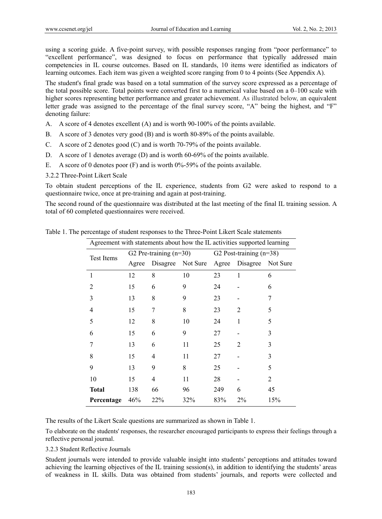using a scoring guide. A five-point survey, with possible responses ranging from "poor performance" to "excellent performance", was designed to focus on performance that typically addressed main competencies in IL course outcomes. Based on IL standards, 10 items were identified as indicators of learning outcomes. Each item was given a weighted score ranging from 0 to 4 points (See Appendix A).

The student's final grade was based on a total summation of the survey score expressed as a percentage of the total possible score. Total points were converted first to a numerical value based on a 0–100 scale with higher scores representing better performance and greater achievement. As illustrated below, an equivalent letter grade was assigned to the percentage of the final survey score, "A" being the highest, and "F" denoting failure:

- A. A score of 4 denotes excellent (A) and is worth 90-100% of the points available.
- B. A score of 3 denotes very good (B) and is worth 80-89% of the points available.
- C. A score of 2 denotes good (C) and is worth 70-79% of the points available.
- D. A score of 1 denotes average (D) and is worth 60-69% of the points available.
- E. A score of 0 denotes poor (F) and is worth 0%-59% of the points available.
- 3.2.2 Three-Point Likert Scale

To obtain student perceptions of the IL experience, students from G2 were asked to respond to a questionnaire twice, once at pre-training and again at post-training.

The second round of the questionnaire was distributed at the last meeting of the final IL training session. A total of 60 completed questionnaires were received.

| Agreement with statements about how the IL activities supported learning |       |                          |                   |       |                           |                |  |
|--------------------------------------------------------------------------|-------|--------------------------|-------------------|-------|---------------------------|----------------|--|
| Test Items                                                               |       | G2 Pre-training $(n=30)$ |                   |       | G2 Post-training $(n=38)$ |                |  |
|                                                                          | Agree |                          | Disagree Not Sure | Agree | Disagree                  | Not Sure       |  |
| 1                                                                        | 12    | 8                        | 10                | 23    |                           | 6              |  |
| $\overline{2}$                                                           | 15    | 6                        | 9                 | 24    |                           | 6              |  |
| 3                                                                        | 13    | 8                        | 9                 | 23    |                           | 7              |  |
| $\overline{4}$                                                           | 15    | 7                        | 8                 | 23    | 2                         | 5              |  |
| 5                                                                        | 12    | 8                        | 10                | 24    |                           | 5              |  |
| 6                                                                        | 15    | 6                        | 9                 | 27    |                           | 3              |  |
| 7                                                                        | 13    | 6                        | 11                | 25    | 2                         | 3              |  |
| 8                                                                        | 15    | 4                        | 11                | 27    |                           | 3              |  |
| 9                                                                        | 13    | 9                        | 8                 | 25    |                           | 5              |  |
| 10                                                                       | 15    | 4                        | 11                | 28    |                           | $\overline{2}$ |  |
| <b>Total</b>                                                             | 138   | 66                       | 96                | 249   | 6                         | 45             |  |
| Percentage                                                               | 46%   | 22%                      | 32%               | 83%   | 2%                        | 15%            |  |

Table 1. The percentage of student responses to the Three-Point Likert Scale statements

The results of the Likert Scale questions are summarized as shown in Table 1.

To elaborate on the students' responses, the researcher encouraged participants to express their feelings through a reflective personal journal.

## 3.2.3 Student Reflective Journals

Student journals were intended to provide valuable insight into students' perceptions and attitudes toward achieving the learning objectives of the IL training session(s), in addition to identifying the students' areas of weakness in IL skills. Data was obtained from students' journals, and reports were collected and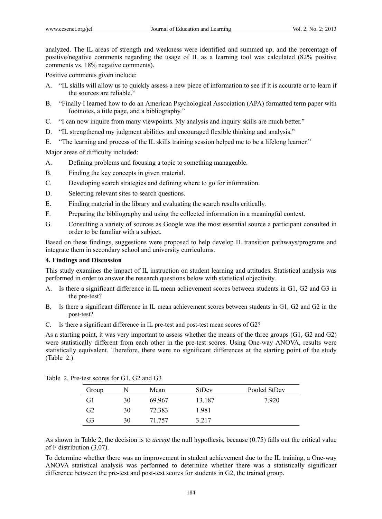analyzed. The IL areas of strength and weakness were identified and summed up, and the percentage of positive/negative comments regarding the usage of IL as a learning tool was calculated (82% positive comments vs. 18% negative comments).

Positive comments given include:

- A. "IL skills will allow us to quickly assess a new piece of information to see if it is accurate or to learn if the sources are reliable."
- B. "Finally I learned how to do an American Psychological Association (APA) formatted term paper with footnotes, a title page, and a bibliography."
- C. "I can now inquire from many viewpoints. My analysis and inquiry skills are much better."
- D. "IL strengthened my judgment abilities and encouraged flexible thinking and analysis."
- E. "The learning and process of the IL skills training session helped me to be a lifelong learner."

Major areas of difficulty included:

- A. Defining problems and focusing a topic to something manageable.
- B. Finding the key concepts in given material.
- C. Developing search strategies and defining where to go for information.
- D. Selecting relevant sites to search questions.
- E. Finding material in the library and evaluating the search results critically.
- F. Preparing the bibliography and using the collected information in a meaningful context.
- G. Consulting a variety of sources as Google was the most essential source a participant consulted in order to be familiar with a subject.

Based on these findings, suggestions were proposed to help develop IL transition pathways/programs and integrate them in secondary school and university curriculums.

## **4. Findings and Discussion**

This study examines the impact of IL instruction on student learning and attitudes. Statistical analysis was performed in order to answer the research questions below with statistical objectivity.

- A. Is there a significant difference in IL mean achievement scores between students in G1, G2 and G3 in the pre-test?
- B. Is there a significant difference in IL mean achievement scores between students in G1, G2 and G2 in the post-test?
- C. Is there a significant difference in IL pre-test and post-test mean scores of G2?

As a starting point, it was very important to assess whether the means of the three groups (G1, G2 and G2) were statistically different from each other in the pre-test scores. Using One-way ANOVA, results were statistically equivalent. Therefore, there were no significant differences at the starting point of the study (Table 2.)

| Group          |    | Mean   | StDev  | Pooled StDev |
|----------------|----|--------|--------|--------------|
| G1             | 30 | 69.967 | 13.187 | 7.920        |
| G <sub>2</sub> | 30 | 72.383 | 1.981  |              |
| G3             | 30 | 71 757 | 3.217  |              |

Table 2. Pre-test scores for G1, G2 and G3

As shown in Table 2, the decision is to *accept* the null hypothesis, because (0.75) falls out the critical value of F distribution (3.07).

To determine whether there was an improvement in student achievement due to the IL training, a One-way ANOVA statistical analysis was performed to determine whether there was a statistically significant difference between the pre-test and post-test scores for students in G2, the trained group.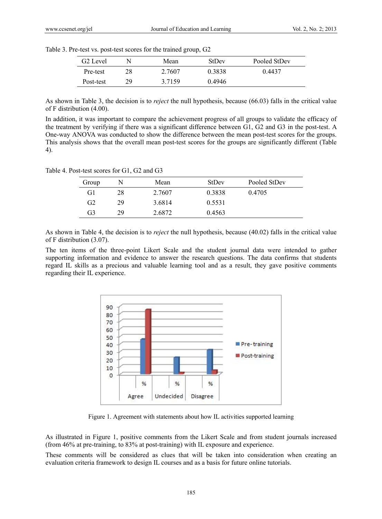| Table 3. Pre-test vs. post-test scores for the trained group, G2 |  |  |  |  |  |  |  |  |
|------------------------------------------------------------------|--|--|--|--|--|--|--|--|
|------------------------------------------------------------------|--|--|--|--|--|--|--|--|

| G <sub>2</sub> Level |     | Mean   | StDev  | Pooled StDev |
|----------------------|-----|--------|--------|--------------|
| Pre-test             | 28  | 2.7607 | 0.3838 | 0.4437       |
| Post-test            | 29. | 3.7159 | 0.4946 |              |

As shown in Table 3, the decision is to *reject* the null hypothesis, because (66.03) falls in the critical value of F distribution (4.00).

In addition, it was important to compare the achievement progress of all groups to validate the efficacy of the treatment by verifying if there was a significant difference between G1, G2 and G3 in the post-test. A One-way ANOVA was conducted to show the difference between the mean post-test scores for the groups. This analysis shows that the overall mean post-test scores for the groups are significantly different (Table 4).

Table 4. Post-test scores for G1, G2 and G3

| Group          | N  | Mean   | <b>StDev</b> | Pooled StDev |
|----------------|----|--------|--------------|--------------|
| G1             | 28 | 2.7607 | 0.3838       | 0.4705       |
| G <sub>2</sub> | 29 | 3.6814 | 0.5531       |              |
| G3             | 29 | 2.6872 | 0.4563       |              |

As shown in Table 4, the decision is to *reject* the null hypothesis, because (40.02) falls in the critical value of F distribution (3.07).

The ten items of the three-point Likert Scale and the student journal data were intended to gather supporting information and evidence to answer the research questions. The data confirms that students regard IL skills as a precious and valuable learning tool and as a result, they gave positive comments regarding their IL experience.



Figure 1. Agreement with statements about how IL activities supported learning

As illustrated in Figure 1, positive comments from the Likert Scale and from student journals increased (from 46% at pre-training, to 83% at post-training) with IL exposure and experience.

These comments will be considered as clues that will be taken into consideration when creating an evaluation criteria framework to design IL courses and as a basis for future online tutorials.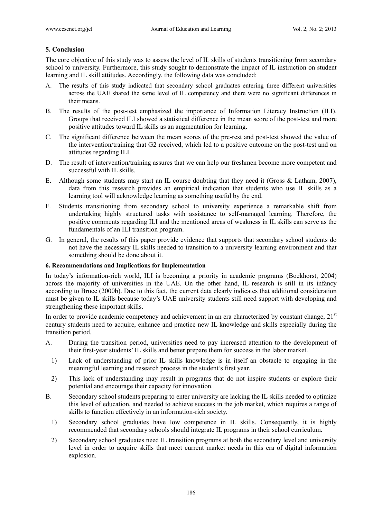## **5. Conclusion**

The core objective of this study was to assess the level of IL skills of students transitioning from secondary school to university. Furthermore, this study sought to demonstrate the impact of IL instruction on student learning and IL skill attitudes. Accordingly, the following data was concluded:

- A. The results of this study indicated that secondary school graduates entering three different universities across the UAE shared the same level of IL competency and there were no significant differences in their means.
- B. The results of the post-test emphasized the importance of Information Literacy Instruction (ILI). Groups that received ILI showed a statistical difference in the mean score of the post-test and more positive attitudes toward IL skills as an augmentation for learning.
- C. The significant difference between the mean scores of the pre-rest and post-test showed the value of the intervention/training that G2 received, which led to a positive outcome on the post-test and on attitudes regarding ILI.
- D. The result of intervention/training assures that we can help our freshmen become more competent and successful with IL skills.
- E. Although some students may start an IL course doubting that they need it (Gross & Latham, 2007), data from this research provides an empirical indication that students who use IL skills as a learning tool will acknowledge learning as something useful by the end.
- F. Students transitioning from secondary school to university experience a remarkable shift from undertaking highly structured tasks with assistance to self-managed learning. Therefore, the positive comments regarding ILI and the mentioned areas of weakness in IL skills can serve as the fundamentals of an ILI transition program.
- G. In general, the results of this paper provide evidence that supports that secondary school students do not have the necessary IL skills needed to transition to a university learning environment and that something should be done about it.

### **6. Recommendations and Implications for Implementation**

In today's information-rich world, ILI is becoming a priority in academic programs (Boekhorst, 2004) across the majority of universities in the UAE. On the other hand, IL research is still in its infancy according to Bruce (2000b). Due to this fact, the current data clearly indicates that additional consideration must be given to IL skills because today's UAE university students still need support with developing and strengthening these important skills.

In order to provide academic competency and achievement in an era characterized by constant change,  $21<sup>st</sup>$ century students need to acquire, enhance and practice new IL knowledge and skills especially during the transition period.

- A. During the transition period, universities need to pay increased attention to the development of their first-year students' IL skills and better prepare them for success in the labor market.
	- 1) Lack of understanding of prior IL skills knowledge is in itself an obstacle to engaging in the meaningful learning and research process in the student's first year.
	- 2) This lack of understanding may result in programs that do not inspire students or explore their potential and encourage their capacity for innovation.
- B. Secondary school students preparing to enter university are lacking the IL skills needed to optimize this level of education, and needed to achieve success in the job market, which requires a range of skills to function effectively in an information-rich society.
	- 1) Secondary school graduates have low competence in IL skills. Consequently, it is highly recommended that secondary schools should integrate IL programs in their school curriculum.
	- 2) Secondary school graduates need IL transition programs at both the secondary level and university level in order to acquire skills that meet current market needs in this era of digital information explosion.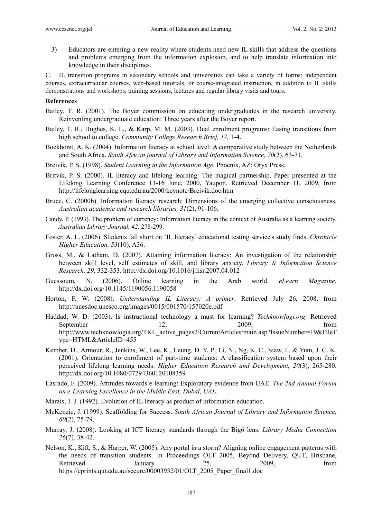3) Educators are entering a new reality where students need new IL skills that address the questions and problems emerging from the information explosion, and to help translate information into knowledge in their disciplines.

C. IL transition programs in secondary schools and universities can take a variety of forms: independent courses, extracurricular courses, web-based tutorials, or course-integrated instruction, in addition to IL skills demonstrations and workshops, training sessions, lectures and regular library visits and tours.

## **References**

- Bailey, T. R. (2001). The Boyer commission on educating undergraduates in the research university. Reinventing undergraduate education: Three years after the Boyer report.
- Bailey, T. R., Hughes, K. L., & Karp, M. M. (2003). Dual enrolment programs: Easing transitions from high school to college. *Community College Research Brief, 17,* 1-4.
- Boekhorst, A. K. (2004). Information literacy at school level: A comparative study between the Netherlands and South Africa. *South African journal of Library and Information Science, 70*(2), 63-71.
- Breivik, P. S. (1998). *Student Learning in the Information Age.* Phoenix, AZ: Oryx Press.
- Britvik, P. S. (2000). IL literacy and lifelong learning: The magical partnership. Paper presented at the Lifelong Learning Conference 13-16 June, 2000, Yaupon. Retrieved December 11, 2009, from http://lifelonglearning.cqu.edu.au/2000/keynote/Breivik.doc.htm
- Bruce, C. (2000b). Information literacy research: Dimensions of the emerging collective consciousness. *Australian academic and research libraries, 31*(2), 91-106.
- Candy, P. (1993). The problem of currency: Information literacy in the context of Australia as a learning society. *Australian Library Journal, 42,* 278-299.
- Foster, A. L. (2006). Students fall short on 'IL literacy' educational testing service's study finds. *Chronicle Higher Education, 53*(10), A36.
- Gross, M., & Latham, D. (2007). Attaining information literacy: An investigation of the relationship between skill level, self estimates of skill, and library anxiety. *Library & Information Science Research, 29,* 332-353. http://dx.doi.org/10.1016/j.lisr.2007.04.012
- Guessoum, N. (2006). Online learning in the Arab world. *eLearn Magazine*. http://dx.doi.org/10.1145/1190056.1190058
- Horton, F. W. (2008). *Understanding IL Literacy: A primer*. Retrieved July 26, 2008, from http://unesdoc.unesco.org/images/0015/001570/157020e.pdf
- Haddad, W. D. (2003). Is instructional technology a must for learning? *Techknowlogi.org*. Retrieved September 12, 2009, from http://www.techknowlogia.org/TKL\_active\_pages2/CurrentArticles/main.asp?IssueNumber=19&FileT ype=HTML&ArticleID=455
- Kember, D., Armour, R., Jenkins, W., Lee, K., Leung, D. Y. P., Li, N., Ng, K. C., Siaw, I., & Yum, J. C. K. (2001). Orientation to enrollment of part-time students: A classification system based upon their perceived lifelong learning needs. *Higher Education Research and Development, 20*(3), 265-280. http://dx.doi.org/10.1080/07294360120108359
- Lasrado, F. (2009). Attitudes towards e-learning: Exploratory evidence from UAE. *The 2nd Annual Forum on e-Learning Excellence in the Middle East, Dubai, UAE*.
- Marais, J. J. (1992). Evolution of IL literacy as product of information education.
- McKenzie, J. (1999). Scaffolding for Success. *South African Journal of Library and Information Science, 60*(2), 75-79.
- Murray, J. (2008). Looking at ICT literacy standards through the Big6 lens. *Library Media Connection 26*(7), 38-42.
- Nelson, K., Kift, S., & Harper, W. (2005). Any portal in a storm? Aligning online engagement patterns with the needs of transition students. In Proceedings OLT 2005, Beyond Delivery, QUT, Brisbane, Retrieved January 25, 2009, from https://eprints.qut.edu.au/secure/00003932/01/OLT\_2005\_Paper\_final1.doc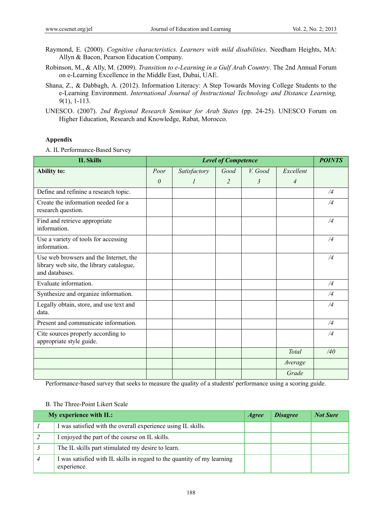- Raymond, E. (2000). *Cognitive characteristics. Learners with mild disabilities*. Needham Heights, MA: Allyn & Bacon, Pearson Education Company.
- Robinson, M., & Ally, M. (2009). *Transition to e-Learning in a Gulf Arab Country*. The 2nd Annual Forum on e-Learning Excellence in the Middle East, Dubai, UAE.
- Shana, Z., & Dabbagh, A. (2012). Information Literacy: A Step Towards Moving College Students to the e-Learning Environment. *International Journal of Instructional Technology and Distance Learning, 9*(1), 1-113.
- UNESCO. (2007). *2nd Regional Research Seminar for Arab States* (pp. 24-25). UNESCO Forum on Higher Education, Research and Knowledge, Rabat, Morocco.

## **Appendix**

A. IL Performance-Based Survey

| <b>IL Skills</b>                                                                                     |          |               | <b>Level of Competence</b> |         |                | <b>POINTS</b>  |
|------------------------------------------------------------------------------------------------------|----------|---------------|----------------------------|---------|----------------|----------------|
| <b>Ability to:</b>                                                                                   | Poor     | Satisfactory  | Good                       | V. Good | Excellent      |                |
|                                                                                                      | $\theta$ | $\mathcal{I}$ | $\overline{2}$             | 3       | $\overline{4}$ |                |
| Define and refinine a research topic.                                                                |          |               |                            |         |                | $\overline{4}$ |
| Create the information needed for a<br>research question.                                            |          |               |                            |         |                | $\sqrt{4}$     |
| Find and retrieve appropriate<br>information.                                                        |          |               |                            |         |                | $\overline{4}$ |
| Use a variety of tools for accessing<br>information.                                                 |          |               |                            |         |                | $\overline{4}$ |
| Use web browsers and the Internet, the<br>library web site, the library catalogue,<br>and databases. |          |               |                            |         |                | $\overline{4}$ |
| Evaluate information.                                                                                |          |               |                            |         |                | $\overline{4}$ |
| Synthesize and organize information.                                                                 |          |               |                            |         |                | $\sqrt{4}$     |
| Legally obtain, store, and use text and<br>data.                                                     |          |               |                            |         |                | $\overline{4}$ |
| Present and communicate information.                                                                 |          |               |                            |         |                | $\sqrt{4}$     |
| Cite sources properly according to<br>appropriate style guide.                                       |          |               |                            |         |                | $\sqrt{4}$     |
|                                                                                                      |          |               |                            |         | Total          | /40            |
|                                                                                                      |          |               |                            |         | Average        |                |
|                                                                                                      |          |               |                            |         | Grade          |                |

Performance-based survey that seeks to measure the quality of a students' performance using a scoring guide.

# B. The Three-Point Likert Scale

| My experience with IL:                                                                 | Agree | <i>Disagree</i> | <b>Not Sure</b> |
|----------------------------------------------------------------------------------------|-------|-----------------|-----------------|
| I was satisfied with the overall experience using IL skills.                           |       |                 |                 |
| I enjoyed the part of the course on IL skills.                                         |       |                 |                 |
| The IL skills part stimulated my desire to learn.                                      |       |                 |                 |
| I was satisfied with IL skills in regard to the quantity of my learning<br>experience. |       |                 |                 |